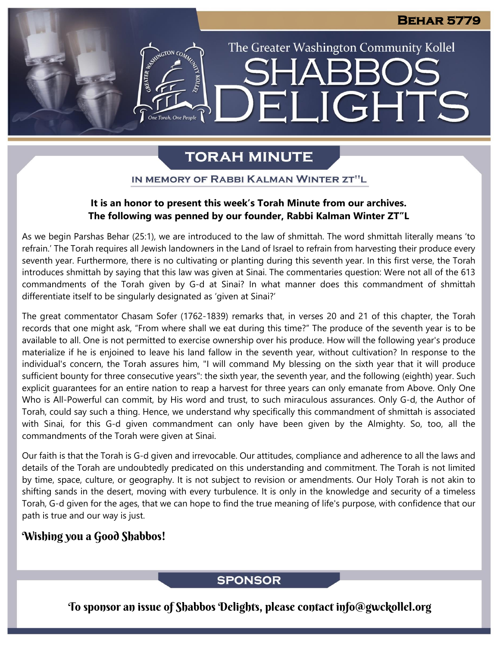The Greater Washington Community Kollel

LIGHTS

# **TORAH MINUTE**

FI

ASSESSMAGTON CO

#### IN MEMORY OF RABBI KALMAN WINTER ZT"L

#### **It is an honor to present this week's Torah Minute from our archives. The following was penned by our founder, Rabbi Kalman Winter ZT"L**

As we begin Parshas Behar (25:1), we are introduced to the law of shmittah. The word shmittah literally means 'to refrain.' The Torah requires all Jewish landowners in the Land of Israel to refrain from harvesting their produce every seventh year. Furthermore, there is no cultivating or planting during this seventh year. In this first verse, the Torah introduces shmittah by saying that this law was given at Sinai. The commentaries question: Were not all of the 613 commandments of the Torah given by G-d at Sinai? In what manner does this commandment of shmittah differentiate itself to be singularly designated as 'given at Sinai?'

The great commentator Chasam Sofer (1762-1839) remarks that, in verses 20 and 21 of this chapter, the Torah records that one might ask, "From where shall we eat during this time?" The produce of the seventh year is to be available to all. One is not permitted to exercise ownership over his produce. How will the following year's produce materialize if he is enjoined to leave his land fallow in the seventh year, without cultivation? In response to the individual's concern, the Torah assures him, "I will command My blessing on the sixth year that it will produce sufficient bounty for three consecutive years": the sixth year, the seventh year, and the following (eighth) year. Such explicit guarantees for an entire nation to reap a harvest for three years can only emanate from Above. Only One Who is All-Powerful can commit, by His word and trust, to such miraculous assurances. Only G-d, the Author of Torah, could say such a thing. Hence, we understand why specifically this commandment of shmittah is associated with Sinai, for this G-d given commandment can only have been given by the Almighty. So, too, all the commandments of the Torah were given at Sinai.

Our faith is that the Torah is G-d given and irrevocable. Our attitudes, compliance and adherence to all the laws and details of the Torah are undoubtedly predicated on this understanding and commitment. The Torah is not limited by time, space, culture, or geography. It is not subject to revision or amendments. Our Holy Torah is not akin to shifting sands in the desert, moving with every turbulence. It is only in the knowledge and security of a timeless Torah, G-d given for the ages, that we can hope to find the true meaning of life's purpose, with confidence that our path is true and our way is just.

### Wishing you a Good Shabbos!

### **SPONSOR**

To sponsor an issue of Shabbos Delights, please contact info@gwckollel.org